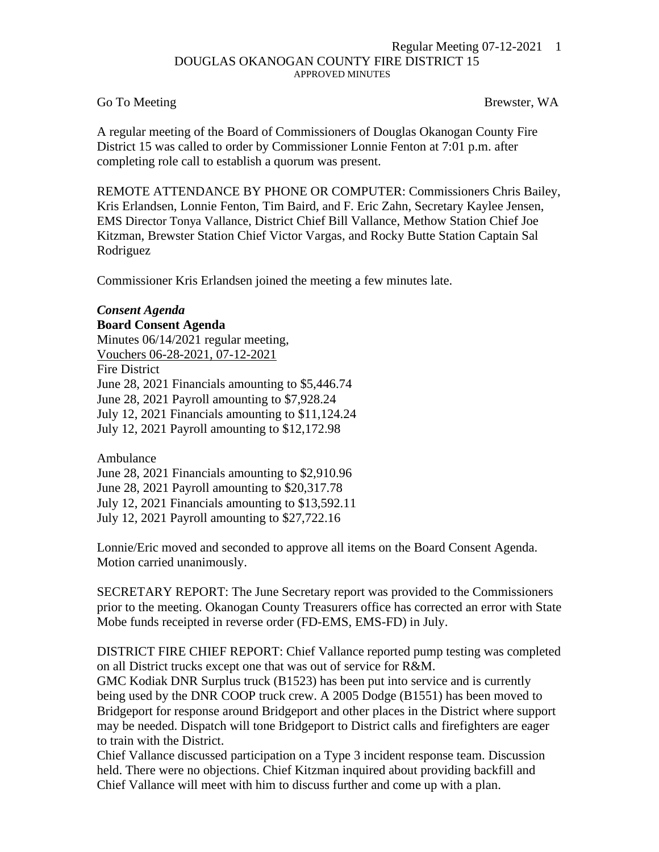## Regular Meeting 07-12-2021 1 DOUGLAS OKANOGAN COUNTY FIRE DISTRICT 15 APPROVED MINUTES

## Go To Meeting Brewster, WA

A regular meeting of the Board of Commissioners of Douglas Okanogan County Fire District 15 was called to order by Commissioner Lonnie Fenton at 7:01 p.m. after completing role call to establish a quorum was present.

REMOTE ATTENDANCE BY PHONE OR COMPUTER: Commissioners Chris Bailey, Kris Erlandsen, Lonnie Fenton, Tim Baird, and F. Eric Zahn, Secretary Kaylee Jensen, EMS Director Tonya Vallance, District Chief Bill Vallance, Methow Station Chief Joe Kitzman, Brewster Station Chief Victor Vargas, and Rocky Butte Station Captain Sal Rodriguez

Commissioner Kris Erlandsen joined the meeting a few minutes late.

## *Consent Agenda*

**Board Consent Agenda**

Minutes 06/14/2021 regular meeting, Vouchers 06-28-2021, 07-12-2021 Fire District June 28, 2021 Financials amounting to \$5,446.74 June 28, 2021 Payroll amounting to \$7,928.24 July 12, 2021 Financials amounting to \$11,124.24

July 12, 2021 Payroll amounting to \$12,172.98

Ambulance

June 28, 2021 Financials amounting to \$2,910.96

June 28, 2021 Payroll amounting to \$20,317.78

July 12, 2021 Financials amounting to \$13,592.11

July 12, 2021 Payroll amounting to \$27,722.16

Lonnie/Eric moved and seconded to approve all items on the Board Consent Agenda. Motion carried unanimously.

SECRETARY REPORT: The June Secretary report was provided to the Commissioners prior to the meeting. Okanogan County Treasurers office has corrected an error with State Mobe funds receipted in reverse order (FD-EMS, EMS-FD) in July.

DISTRICT FIRE CHIEF REPORT: Chief Vallance reported pump testing was completed on all District trucks except one that was out of service for R&M.

GMC Kodiak DNR Surplus truck (B1523) has been put into service and is currently being used by the DNR COOP truck crew. A 2005 Dodge (B1551) has been moved to Bridgeport for response around Bridgeport and other places in the District where support may be needed. Dispatch will tone Bridgeport to District calls and firefighters are eager to train with the District.

Chief Vallance discussed participation on a Type 3 incident response team. Discussion held. There were no objections. Chief Kitzman inquired about providing backfill and Chief Vallance will meet with him to discuss further and come up with a plan.